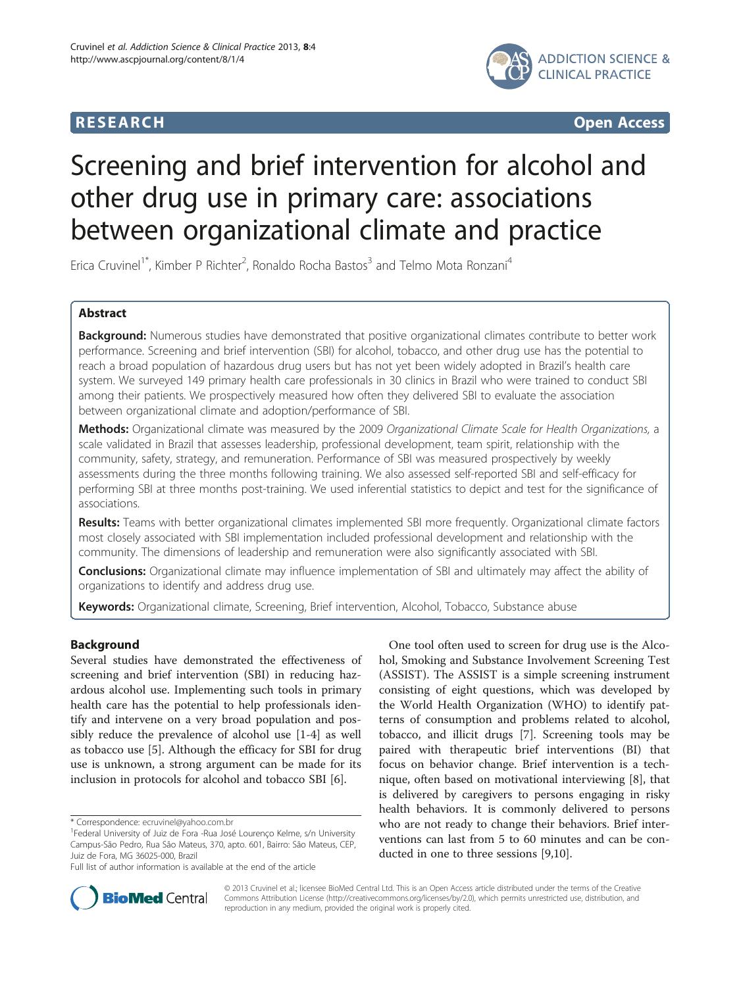## **RESEARCH RESEARCH** *CHECK <b>CHECK*



# Screening and brief intervention for alcohol and other drug use in primary care: associations between organizational climate and practice

Erica Cruvinel<sup>1\*</sup>, Kimber P Richter<sup>2</sup>, Ronaldo Rocha Bastos<sup>3</sup> and Telmo Mota Ronzani<sup>4</sup>

## Abstract

Background: Numerous studies have demonstrated that positive organizational climates contribute to better work performance. Screening and brief intervention (SBI) for alcohol, tobacco, and other drug use has the potential to reach a broad population of hazardous drug users but has not yet been widely adopted in Brazil's health care system. We surveyed 149 primary health care professionals in 30 clinics in Brazil who were trained to conduct SBI among their patients. We prospectively measured how often they delivered SBI to evaluate the association between organizational climate and adoption/performance of SBI.

Methods: Organizational climate was measured by the 2009 Organizational Climate Scale for Health Organizations, a scale validated in Brazil that assesses leadership, professional development, team spirit, relationship with the community, safety, strategy, and remuneration. Performance of SBI was measured prospectively by weekly assessments during the three months following training. We also assessed self-reported SBI and self-efficacy for performing SBI at three months post-training. We used inferential statistics to depict and test for the significance of associations.

Results: Teams with better organizational climates implemented SBI more frequently. Organizational climate factors most closely associated with SBI implementation included professional development and relationship with the community. The dimensions of leadership and remuneration were also significantly associated with SBI.

Conclusions: Organizational climate may influence implementation of SBI and ultimately may affect the ability of organizations to identify and address drug use.

Keywords: Organizational climate, Screening, Brief intervention, Alcohol, Tobacco, Substance abuse

## Background

Several studies have demonstrated the effectiveness of screening and brief intervention (SBI) in reducing hazardous alcohol use. Implementing such tools in primary health care has the potential to help professionals identify and intervene on a very broad population and possibly reduce the prevalence of alcohol use [\[1](#page-6-0)-[4\]](#page-6-0) as well as tobacco use [\[5\]](#page-6-0). Although the efficacy for SBI for drug use is unknown, a strong argument can be made for its inclusion in protocols for alcohol and tobacco SBI [[6](#page-6-0)].

One tool often used to screen for drug use is the Alcohol, Smoking and Substance Involvement Screening Test (ASSIST). The ASSIST is a simple screening instrument consisting of eight questions, which was developed by the World Health Organization (WHO) to identify patterns of consumption and problems related to alcohol, tobacco, and illicit drugs [[7\]](#page-6-0). Screening tools may be paired with therapeutic brief interventions (BI) that focus on behavior change. Brief intervention is a technique, often based on motivational interviewing [[8\]](#page-6-0), that is delivered by caregivers to persons engaging in risky health behaviors. It is commonly delivered to persons who are not ready to change their behaviors. Brief interventions can last from 5 to 60 minutes and can be conducted in one to three sessions [[9,10\]](#page-6-0).



© 2013 Cruvinel et al.; licensee BioMed Central Ltd. This is an Open Access article distributed under the terms of the Creative Commons Attribution License [\(http://creativecommons.org/licenses/by/2.0\)](http://creativecommons.org/licenses/by/2.0), which permits unrestricted use, distribution, and reproduction in any medium, provided the original work is properly cited.

<sup>\*</sup> Correspondence: [ecruvinel@yahoo.com.br](mailto:ecruvinel@yahoo.com.br) <sup>1</sup>

Federal University of Juiz de Fora -Rua José Lourenço Kelme, s/n University Campus-São Pedro, Rua São Mateus, 370, apto. 601, Bairro: São Mateus, CEP, Juiz de Fora, MG 36025-000, Brazil

Full list of author information is available at the end of the article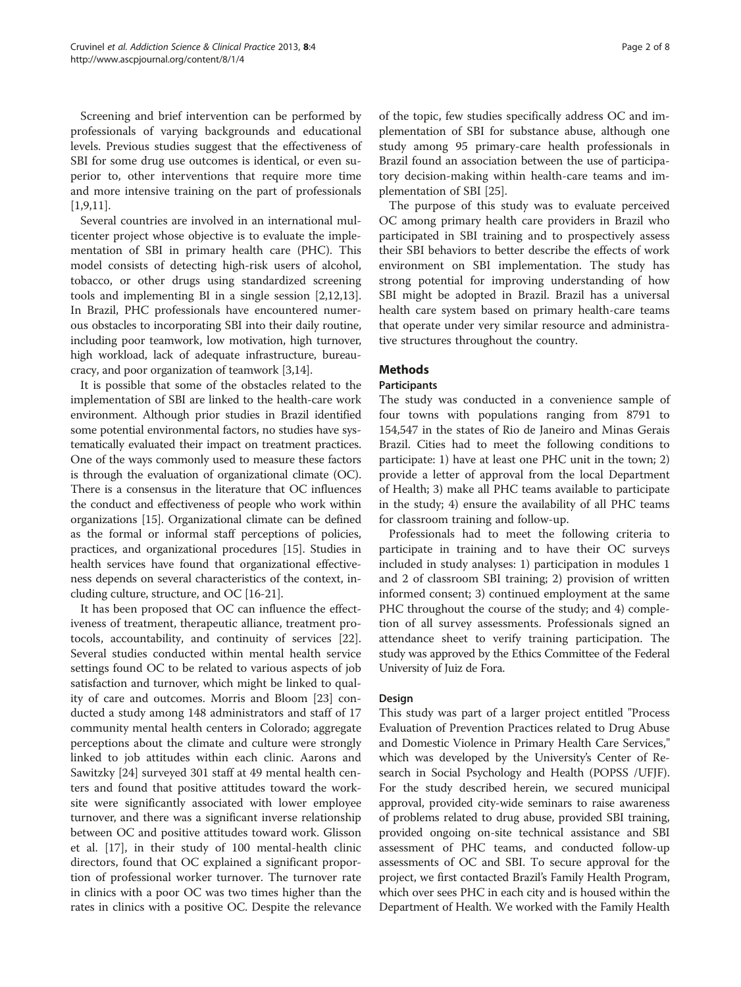Screening and brief intervention can be performed by professionals of varying backgrounds and educational levels. Previous studies suggest that the effectiveness of SBI for some drug use outcomes is identical, or even superior to, other interventions that require more time and more intensive training on the part of professionals [[1,9,11\]](#page-6-0).

Several countries are involved in an international multicenter project whose objective is to evaluate the implementation of SBI in primary health care (PHC). This model consists of detecting high-risk users of alcohol, tobacco, or other drugs using standardized screening tools and implementing BI in a single session [\[2,12](#page-6-0)[,13](#page-7-0)]. In Brazil, PHC professionals have encountered numerous obstacles to incorporating SBI into their daily routine, including poor teamwork, low motivation, high turnover, high workload, lack of adequate infrastructure, bureaucracy, and poor organization of teamwork [[3](#page-6-0),[14](#page-7-0)].

It is possible that some of the obstacles related to the implementation of SBI are linked to the health-care work environment. Although prior studies in Brazil identified some potential environmental factors, no studies have systematically evaluated their impact on treatment practices. One of the ways commonly used to measure these factors is through the evaluation of organizational climate (OC). There is a consensus in the literature that OC influences the conduct and effectiveness of people who work within organizations [[15](#page-7-0)]. Organizational climate can be defined as the formal or informal staff perceptions of policies, practices, and organizational procedures [\[15\]](#page-7-0). Studies in health services have found that organizational effectiveness depends on several characteristics of the context, including culture, structure, and OC [[16-21\]](#page-7-0).

It has been proposed that OC can influence the effectiveness of treatment, therapeutic alliance, treatment protocols, accountability, and continuity of services [\[22](#page-7-0)]. Several studies conducted within mental health service settings found OC to be related to various aspects of job satisfaction and turnover, which might be linked to quality of care and outcomes. Morris and Bloom [[23\]](#page-7-0) conducted a study among 148 administrators and staff of 17 community mental health centers in Colorado; aggregate perceptions about the climate and culture were strongly linked to job attitudes within each clinic. Aarons and Sawitzky [\[24](#page-7-0)] surveyed 301 staff at 49 mental health centers and found that positive attitudes toward the worksite were significantly associated with lower employee turnover, and there was a significant inverse relationship between OC and positive attitudes toward work. Glisson et al. [\[17](#page-7-0)], in their study of 100 mental-health clinic directors, found that OC explained a significant proportion of professional worker turnover. The turnover rate in clinics with a poor OC was two times higher than the rates in clinics with a positive OC. Despite the relevance of the topic, few studies specifically address OC and implementation of SBI for substance abuse, although one study among 95 primary-care health professionals in Brazil found an association between the use of participatory decision-making within health-care teams and implementation of SBI [[25\]](#page-7-0).

The purpose of this study was to evaluate perceived OC among primary health care providers in Brazil who participated in SBI training and to prospectively assess their SBI behaviors to better describe the effects of work environment on SBI implementation. The study has strong potential for improving understanding of how SBI might be adopted in Brazil. Brazil has a universal health care system based on primary health-care teams that operate under very similar resource and administrative structures throughout the country.

## **Methods**

#### Participants

The study was conducted in a convenience sample of four towns with populations ranging from 8791 to 154,547 in the states of Rio de Janeiro and Minas Gerais Brazil. Cities had to meet the following conditions to participate: 1) have at least one PHC unit in the town; 2) provide a letter of approval from the local Department of Health; 3) make all PHC teams available to participate in the study; 4) ensure the availability of all PHC teams for classroom training and follow-up.

Professionals had to meet the following criteria to participate in training and to have their OC surveys included in study analyses: 1) participation in modules 1 and 2 of classroom SBI training; 2) provision of written informed consent; 3) continued employment at the same PHC throughout the course of the study; and 4) completion of all survey assessments. Professionals signed an attendance sheet to verify training participation. The study was approved by the Ethics Committee of the Federal University of Juiz de Fora.

#### Design

This study was part of a larger project entitled "Process Evaluation of Prevention Practices related to Drug Abuse and Domestic Violence in Primary Health Care Services," which was developed by the University's Center of Research in Social Psychology and Health (POPSS /UFJF). For the study described herein, we secured municipal approval, provided city-wide seminars to raise awareness of problems related to drug abuse, provided SBI training, provided ongoing on-site technical assistance and SBI assessment of PHC teams, and conducted follow-up assessments of OC and SBI. To secure approval for the project, we first contacted Brazil's Family Health Program, which over sees PHC in each city and is housed within the Department of Health. We worked with the Family Health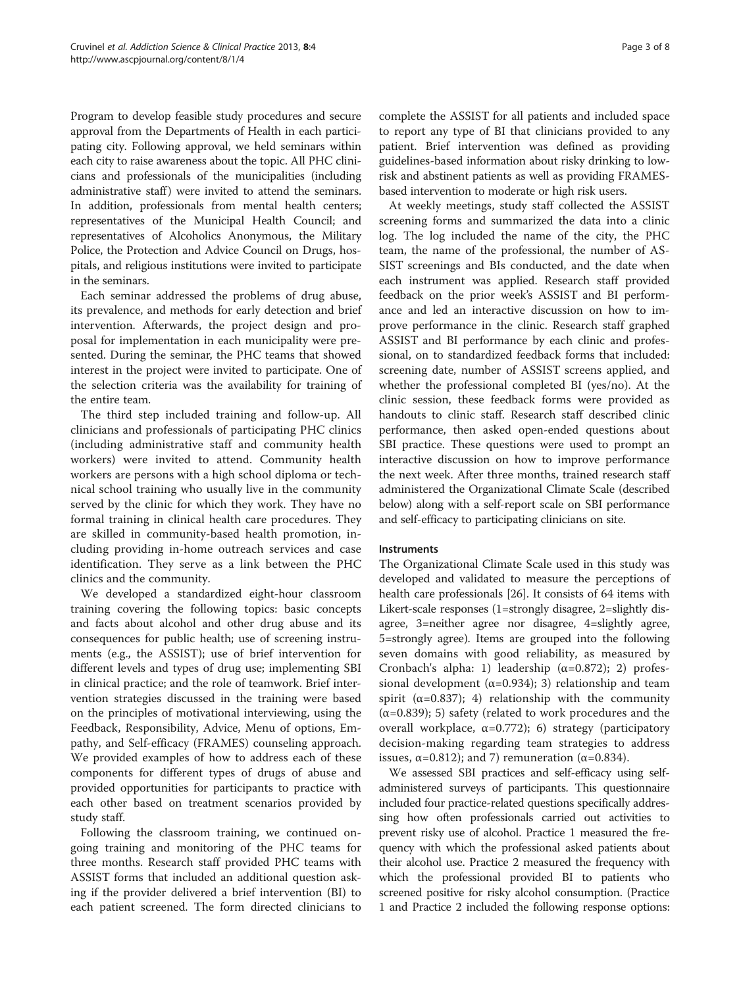Program to develop feasible study procedures and secure approval from the Departments of Health in each participating city. Following approval, we held seminars within each city to raise awareness about the topic. All PHC clinicians and professionals of the municipalities (including administrative staff) were invited to attend the seminars. In addition, professionals from mental health centers; representatives of the Municipal Health Council; and representatives of Alcoholics Anonymous, the Military Police, the Protection and Advice Council on Drugs, hospitals, and religious institutions were invited to participate in the seminars.

Each seminar addressed the problems of drug abuse, its prevalence, and methods for early detection and brief intervention. Afterwards, the project design and proposal for implementation in each municipality were presented. During the seminar, the PHC teams that showed interest in the project were invited to participate. One of the selection criteria was the availability for training of the entire team.

The third step included training and follow-up. All clinicians and professionals of participating PHC clinics (including administrative staff and community health workers) were invited to attend. Community health workers are persons with a high school diploma or technical school training who usually live in the community served by the clinic for which they work. They have no formal training in clinical health care procedures. They are skilled in community-based health promotion, including providing in-home outreach services and case identification. They serve as a link between the PHC clinics and the community.

We developed a standardized eight-hour classroom training covering the following topics: basic concepts and facts about alcohol and other drug abuse and its consequences for public health; use of screening instruments (e.g., the ASSIST); use of brief intervention for different levels and types of drug use; implementing SBI in clinical practice; and the role of teamwork. Brief intervention strategies discussed in the training were based on the principles of motivational interviewing, using the Feedback, Responsibility, Advice, Menu of options, Empathy, and Self-efficacy (FRAMES) counseling approach. We provided examples of how to address each of these components for different types of drugs of abuse and provided opportunities for participants to practice with each other based on treatment scenarios provided by study staff.

Following the classroom training, we continued ongoing training and monitoring of the PHC teams for three months. Research staff provided PHC teams with ASSIST forms that included an additional question asking if the provider delivered a brief intervention (BI) to each patient screened. The form directed clinicians to

complete the ASSIST for all patients and included space to report any type of BI that clinicians provided to any patient. Brief intervention was defined as providing guidelines-based information about risky drinking to lowrisk and abstinent patients as well as providing FRAMESbased intervention to moderate or high risk users.

At weekly meetings, study staff collected the ASSIST screening forms and summarized the data into a clinic log. The log included the name of the city, the PHC team, the name of the professional, the number of AS-SIST screenings and BIs conducted, and the date when each instrument was applied. Research staff provided feedback on the prior week's ASSIST and BI performance and led an interactive discussion on how to improve performance in the clinic. Research staff graphed ASSIST and BI performance by each clinic and professional, on to standardized feedback forms that included: screening date, number of ASSIST screens applied, and whether the professional completed BI (yes/no). At the clinic session, these feedback forms were provided as handouts to clinic staff. Research staff described clinic performance, then asked open-ended questions about SBI practice. These questions were used to prompt an interactive discussion on how to improve performance the next week. After three months, trained research staff administered the Organizational Climate Scale (described below) along with a self-report scale on SBI performance and self-efficacy to participating clinicians on site.

#### Instruments

The Organizational Climate Scale used in this study was developed and validated to measure the perceptions of health care professionals [\[26](#page-7-0)]. It consists of 64 items with Likert-scale responses (1=strongly disagree, 2=slightly disagree, 3=neither agree nor disagree, 4=slightly agree, 5=strongly agree). Items are grouped into the following seven domains with good reliability, as measured by Cronbach's alpha: 1) leadership  $(\alpha=0.872)$ ; 2) professional development ( $\alpha$ =0.934); 3) relationship and team spirit ( $\alpha$ =0.837); 4) relationship with the community  $(\alpha=0.839)$ ; 5) safety (related to work procedures and the overall workplace, α=0.772); 6) strategy (participatory decision-making regarding team strategies to address issues,  $α=0.812$ ); and 7) remuneration ( $α=0.834$ ).

We assessed SBI practices and self-efficacy using selfadministered surveys of participants. This questionnaire included four practice-related questions specifically addressing how often professionals carried out activities to prevent risky use of alcohol. Practice 1 measured the frequency with which the professional asked patients about their alcohol use. Practice 2 measured the frequency with which the professional provided BI to patients who screened positive for risky alcohol consumption. (Practice 1 and Practice 2 included the following response options: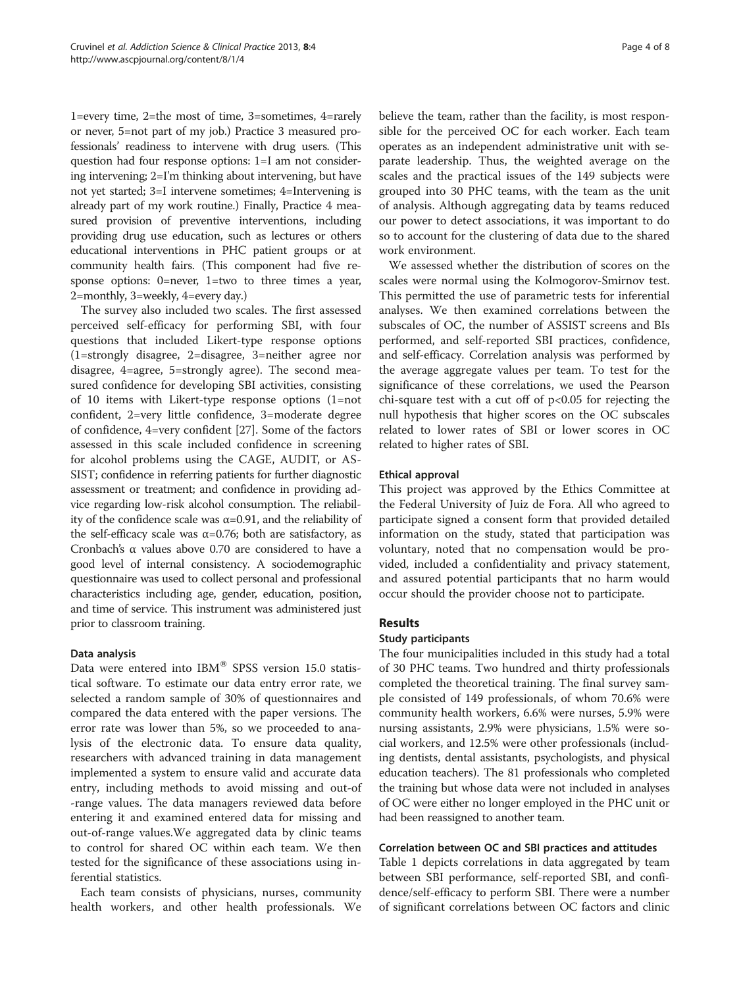1=every time, 2=the most of time, 3=sometimes, 4=rarely or never, 5=not part of my job.) Practice 3 measured professionals' readiness to intervene with drug users. (This question had four response options: 1=I am not considering intervening; 2=I'm thinking about intervening, but have not yet started; 3=I intervene sometimes; 4=Intervening is already part of my work routine.) Finally, Practice 4 measured provision of preventive interventions, including providing drug use education, such as lectures or others educational interventions in PHC patient groups or at community health fairs. (This component had five response options: 0=never, 1=two to three times a year, 2=monthly, 3=weekly, 4=every day.)

The survey also included two scales. The first assessed perceived self-efficacy for performing SBI, with four questions that included Likert-type response options (1=strongly disagree, 2=disagree, 3=neither agree nor disagree, 4=agree, 5=strongly agree). The second measured confidence for developing SBI activities, consisting of 10 items with Likert-type response options (1=not confident, 2=very little confidence, 3=moderate degree of confidence, 4=very confident [\[27](#page-7-0)]. Some of the factors assessed in this scale included confidence in screening for alcohol problems using the CAGE, AUDIT, or AS-SIST; confidence in referring patients for further diagnostic assessment or treatment; and confidence in providing advice regarding low-risk alcohol consumption. The reliability of the confidence scale was  $\alpha$ =0.91, and the reliability of the self-efficacy scale was  $α=0.76$ ; both are satisfactory, as Cronbach's α values above 0.70 are considered to have a good level of internal consistency. A sociodemographic questionnaire was used to collect personal and professional characteristics including age, gender, education, position, and time of service. This instrument was administered just prior to classroom training.

## Data analysis

Data were entered into  $IBM^®$  SPSS version 15.0 statistical software. To estimate our data entry error rate, we selected a random sample of 30% of questionnaires and compared the data entered with the paper versions. The error rate was lower than 5%, so we proceeded to analysis of the electronic data. To ensure data quality, researchers with advanced training in data management implemented a system to ensure valid and accurate data entry, including methods to avoid missing and out-of -range values. The data managers reviewed data before entering it and examined entered data for missing and out-of-range values.We aggregated data by clinic teams to control for shared OC within each team. We then tested for the significance of these associations using inferential statistics.

Each team consists of physicians, nurses, community health workers, and other health professionals. We believe the team, rather than the facility, is most responsible for the perceived OC for each worker. Each team operates as an independent administrative unit with separate leadership. Thus, the weighted average on the scales and the practical issues of the 149 subjects were grouped into 30 PHC teams, with the team as the unit of analysis. Although aggregating data by teams reduced our power to detect associations, it was important to do so to account for the clustering of data due to the shared work environment.

We assessed whether the distribution of scores on the scales were normal using the Kolmogorov-Smirnov test. This permitted the use of parametric tests for inferential analyses. We then examined correlations between the subscales of OC, the number of ASSIST screens and BIs performed, and self-reported SBI practices, confidence, and self-efficacy. Correlation analysis was performed by the average aggregate values per team. To test for the significance of these correlations, we used the Pearson chi-square test with a cut off of  $p<0.05$  for rejecting the null hypothesis that higher scores on the OC subscales related to lower rates of SBI or lower scores in OC related to higher rates of SBI.

#### Ethical approval

This project was approved by the Ethics Committee at the Federal University of Juiz de Fora. All who agreed to participate signed a consent form that provided detailed information on the study, stated that participation was voluntary, noted that no compensation would be provided, included a confidentiality and privacy statement, and assured potential participants that no harm would occur should the provider choose not to participate.

## Results

#### Study participants

The four municipalities included in this study had a total of 30 PHC teams. Two hundred and thirty professionals completed the theoretical training. The final survey sample consisted of 149 professionals, of whom 70.6% were community health workers, 6.6% were nurses, 5.9% were nursing assistants, 2.9% were physicians, 1.5% were social workers, and 12.5% were other professionals (including dentists, dental assistants, psychologists, and physical education teachers). The 81 professionals who completed the training but whose data were not included in analyses of OC were either no longer employed in the PHC unit or had been reassigned to another team.

## Correlation between OC and SBI practices and attitudes

Table [1](#page-4-0) depicts correlations in data aggregated by team between SBI performance, self-reported SBI, and confidence/self-efficacy to perform SBI. There were a number of significant correlations between OC factors and clinic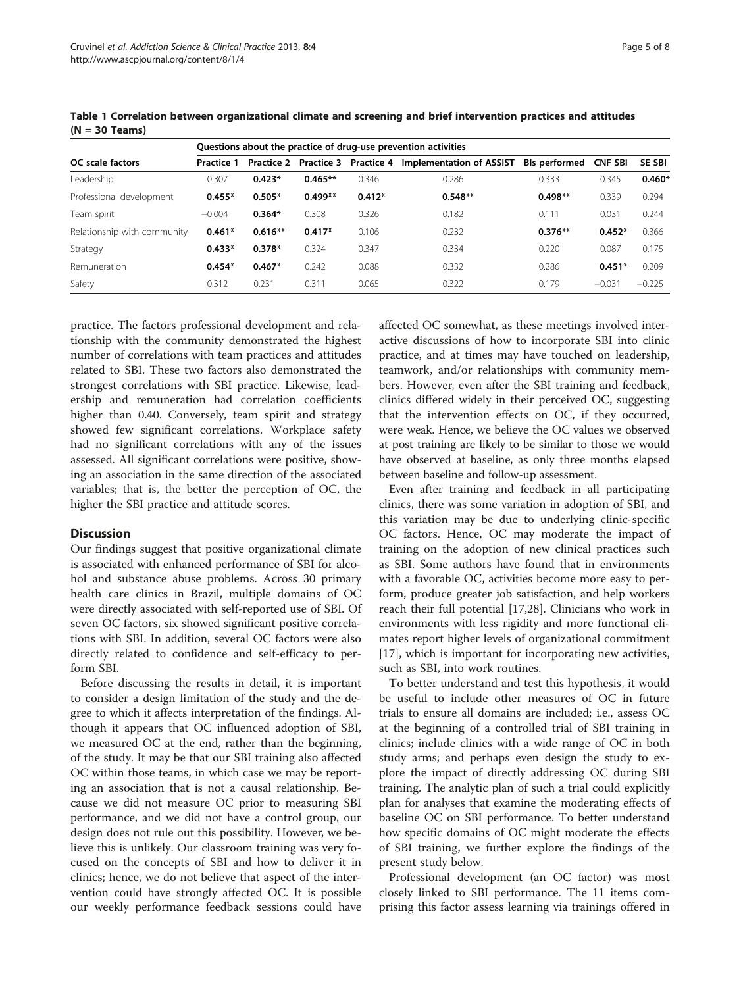| OC scale factors            | Questions about the practice of drug-use prevention activities |           |           |          |                                                           |                              |          |          |
|-----------------------------|----------------------------------------------------------------|-----------|-----------|----------|-----------------------------------------------------------|------------------------------|----------|----------|
|                             | <b>Practice 1</b>                                              |           |           |          | Practice 2 Practice 3 Practice 4 Implementation of ASSIST | <b>BIs performed</b> CNF SBI |          | SE SBI   |
| Leadership                  | 0.307                                                          | $0.423*$  | $0.465**$ | 0.346    | 0.286                                                     | 0.333                        | 0.345    | $0.460*$ |
| Professional development    | $0.455*$                                                       | $0.505*$  | $0.499**$ | $0.412*$ | $0.548**$                                                 | $0.498**$                    | 0.339    | 0.294    |
| Team spirit                 | $-0.004$                                                       | $0.364*$  | 0.308     | 0.326    | 0.182                                                     | 0.111                        | 0.031    | 0.244    |
| Relationship with community | $0.461*$                                                       | $0.616**$ | $0.417*$  | 0.106    | 0.232                                                     | $0.376**$                    | $0.452*$ | 0.366    |
| Strategy                    | $0.433*$                                                       | $0.378*$  | 0.324     | 0.347    | 0.334                                                     | 0.220                        | 0.087    | 0.175    |
| Remuneration                | $0.454*$                                                       | $0.467*$  | 0.242     | 0.088    | 0.332                                                     | 0.286                        | $0.451*$ | 0.209    |
| Safety                      | 0.312                                                          | 0.231     | 0.311     | 0.065    | 0.322                                                     | 0.179                        | $-0.031$ | $-0.225$ |

<span id="page-4-0"></span>Table 1 Correlation between organizational climate and screening and brief intervention practices and attitudes  $(N = 30$  Teams)

practice. The factors professional development and relationship with the community demonstrated the highest number of correlations with team practices and attitudes related to SBI. These two factors also demonstrated the strongest correlations with SBI practice. Likewise, leadership and remuneration had correlation coefficients higher than 0.40. Conversely, team spirit and strategy showed few significant correlations. Workplace safety had no significant correlations with any of the issues assessed. All significant correlations were positive, showing an association in the same direction of the associated variables; that is, the better the perception of OC, the higher the SBI practice and attitude scores.

#### **Discussion**

Our findings suggest that positive organizational climate is associated with enhanced performance of SBI for alcohol and substance abuse problems. Across 30 primary health care clinics in Brazil, multiple domains of OC were directly associated with self-reported use of SBI. Of seven OC factors, six showed significant positive correlations with SBI. In addition, several OC factors were also directly related to confidence and self-efficacy to perform SBI.

Before discussing the results in detail, it is important to consider a design limitation of the study and the degree to which it affects interpretation of the findings. Although it appears that OC influenced adoption of SBI, we measured OC at the end, rather than the beginning, of the study. It may be that our SBI training also affected OC within those teams, in which case we may be reporting an association that is not a causal relationship. Because we did not measure OC prior to measuring SBI performance, and we did not have a control group, our design does not rule out this possibility. However, we believe this is unlikely. Our classroom training was very focused on the concepts of SBI and how to deliver it in clinics; hence, we do not believe that aspect of the intervention could have strongly affected OC. It is possible our weekly performance feedback sessions could have

affected OC somewhat, as these meetings involved interactive discussions of how to incorporate SBI into clinic practice, and at times may have touched on leadership, teamwork, and/or relationships with community members. However, even after the SBI training and feedback, clinics differed widely in their perceived OC, suggesting that the intervention effects on OC, if they occurred, were weak. Hence, we believe the OC values we observed at post training are likely to be similar to those we would have observed at baseline, as only three months elapsed between baseline and follow-up assessment.

Even after training and feedback in all participating clinics, there was some variation in adoption of SBI, and this variation may be due to underlying clinic-specific OC factors. Hence, OC may moderate the impact of training on the adoption of new clinical practices such as SBI. Some authors have found that in environments with a favorable OC, activities become more easy to perform, produce greater job satisfaction, and help workers reach their full potential [[17,28\]](#page-7-0). Clinicians who work in environments with less rigidity and more functional climates report higher levels of organizational commitment [[17\]](#page-7-0), which is important for incorporating new activities, such as SBI, into work routines.

To better understand and test this hypothesis, it would be useful to include other measures of OC in future trials to ensure all domains are included; i.e., assess OC at the beginning of a controlled trial of SBI training in clinics; include clinics with a wide range of OC in both study arms; and perhaps even design the study to explore the impact of directly addressing OC during SBI training. The analytic plan of such a trial could explicitly plan for analyses that examine the moderating effects of baseline OC on SBI performance. To better understand how specific domains of OC might moderate the effects of SBI training, we further explore the findings of the present study below.

Professional development (an OC factor) was most closely linked to SBI performance. The 11 items comprising this factor assess learning via trainings offered in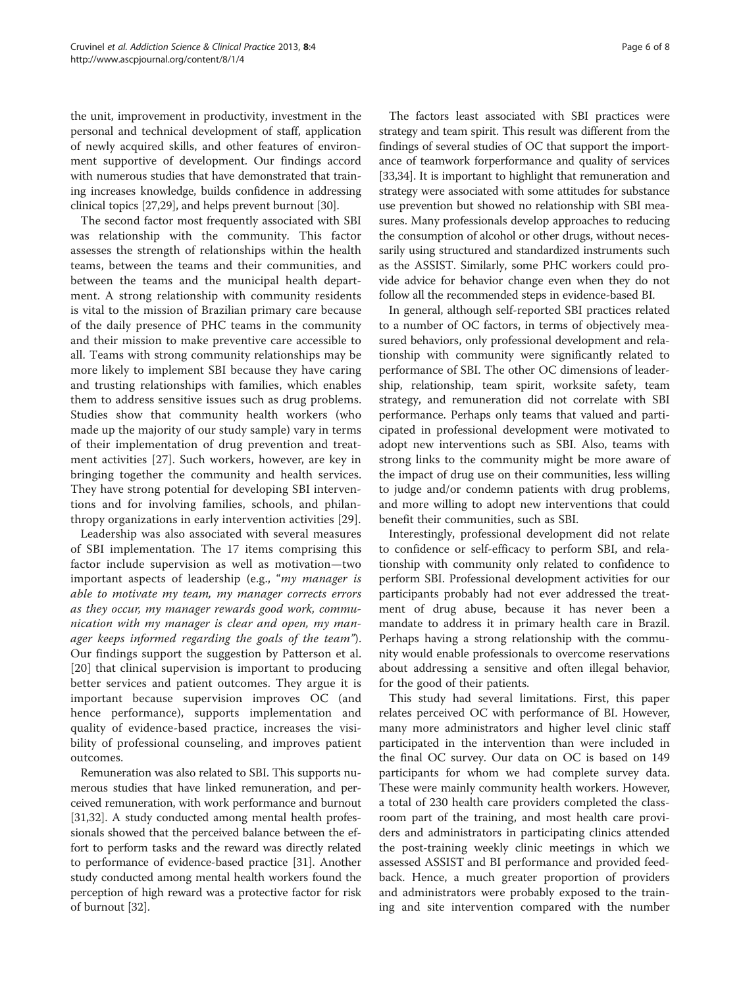the unit, improvement in productivity, investment in the personal and technical development of staff, application of newly acquired skills, and other features of environment supportive of development. Our findings accord with numerous studies that have demonstrated that training increases knowledge, builds confidence in addressing clinical topics [[27,29](#page-7-0)], and helps prevent burnout [[30\]](#page-7-0).

The second factor most frequently associated with SBI was relationship with the community. This factor assesses the strength of relationships within the health teams, between the teams and their communities, and between the teams and the municipal health department. A strong relationship with community residents is vital to the mission of Brazilian primary care because of the daily presence of PHC teams in the community and their mission to make preventive care accessible to all. Teams with strong community relationships may be more likely to implement SBI because they have caring and trusting relationships with families, which enables them to address sensitive issues such as drug problems. Studies show that community health workers (who made up the majority of our study sample) vary in terms of their implementation of drug prevention and treatment activities [\[27](#page-7-0)]. Such workers, however, are key in bringing together the community and health services. They have strong potential for developing SBI interventions and for involving families, schools, and philanthropy organizations in early intervention activities [[29\]](#page-7-0).

Leadership was also associated with several measures of SBI implementation. The 17 items comprising this factor include supervision as well as motivation—two important aspects of leadership (e.g., "my manager is able to motivate my team, my manager corrects errors as they occur, my manager rewards good work, communication with my manager is clear and open, my manager keeps informed regarding the goals of the team"). Our findings support the suggestion by Patterson et al. [[20\]](#page-7-0) that clinical supervision is important to producing better services and patient outcomes. They argue it is important because supervision improves OC (and hence performance), supports implementation and quality of evidence-based practice, increases the visibility of professional counseling, and improves patient outcomes.

Remuneration was also related to SBI. This supports numerous studies that have linked remuneration, and perceived remuneration, with work performance and burnout [[31,32](#page-7-0)]. A study conducted among mental health professionals showed that the perceived balance between the effort to perform tasks and the reward was directly related to performance of evidence-based practice [\[31\]](#page-7-0). Another study conducted among mental health workers found the perception of high reward was a protective factor for risk of burnout [[32](#page-7-0)].

The factors least associated with SBI practices were strategy and team spirit. This result was different from the findings of several studies of OC that support the importance of teamwork forperformance and quality of services [[33](#page-7-0),[34](#page-7-0)]. It is important to highlight that remuneration and strategy were associated with some attitudes for substance use prevention but showed no relationship with SBI measures. Many professionals develop approaches to reducing the consumption of alcohol or other drugs, without necessarily using structured and standardized instruments such as the ASSIST. Similarly, some PHC workers could provide advice for behavior change even when they do not follow all the recommended steps in evidence-based BI.

In general, although self-reported SBI practices related to a number of OC factors, in terms of objectively measured behaviors, only professional development and relationship with community were significantly related to performance of SBI. The other OC dimensions of leadership, relationship, team spirit, worksite safety, team strategy, and remuneration did not correlate with SBI performance. Perhaps only teams that valued and participated in professional development were motivated to adopt new interventions such as SBI. Also, teams with strong links to the community might be more aware of the impact of drug use on their communities, less willing to judge and/or condemn patients with drug problems, and more willing to adopt new interventions that could benefit their communities, such as SBI.

Interestingly, professional development did not relate to confidence or self-efficacy to perform SBI, and relationship with community only related to confidence to perform SBI. Professional development activities for our participants probably had not ever addressed the treatment of drug abuse, because it has never been a mandate to address it in primary health care in Brazil. Perhaps having a strong relationship with the community would enable professionals to overcome reservations about addressing a sensitive and often illegal behavior, for the good of their patients.

This study had several limitations. First, this paper relates perceived OC with performance of BI. However, many more administrators and higher level clinic staff participated in the intervention than were included in the final OC survey. Our data on OC is based on 149 participants for whom we had complete survey data. These were mainly community health workers. However, a total of 230 health care providers completed the classroom part of the training, and most health care providers and administrators in participating clinics attended the post-training weekly clinic meetings in which we assessed ASSIST and BI performance and provided feedback. Hence, a much greater proportion of providers and administrators were probably exposed to the training and site intervention compared with the number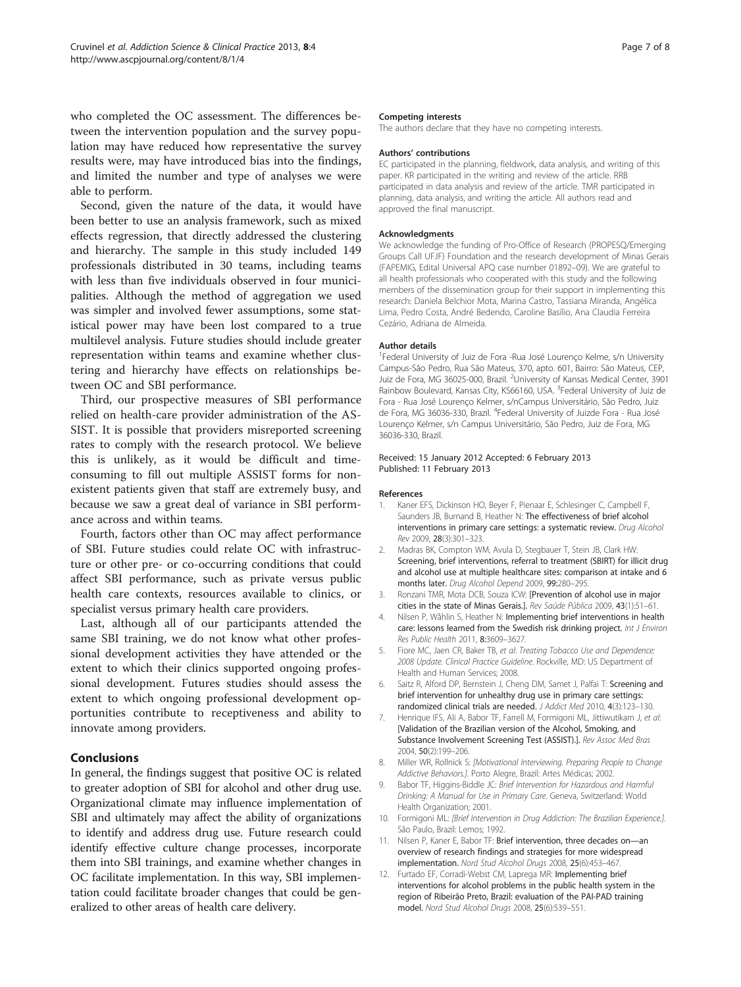<span id="page-6-0"></span>who completed the OC assessment. The differences between the intervention population and the survey population may have reduced how representative the survey results were, may have introduced bias into the findings, and limited the number and type of analyses we were able to perform.

Second, given the nature of the data, it would have been better to use an analysis framework, such as mixed effects regression, that directly addressed the clustering and hierarchy. The sample in this study included 149 professionals distributed in 30 teams, including teams with less than five individuals observed in four municipalities. Although the method of aggregation we used was simpler and involved fewer assumptions, some statistical power may have been lost compared to a true multilevel analysis. Future studies should include greater representation within teams and examine whether clustering and hierarchy have effects on relationships between OC and SBI performance.

Third, our prospective measures of SBI performance relied on health-care provider administration of the AS-SIST. It is possible that providers misreported screening rates to comply with the research protocol. We believe this is unlikely, as it would be difficult and timeconsuming to fill out multiple ASSIST forms for nonexistent patients given that staff are extremely busy, and because we saw a great deal of variance in SBI performance across and within teams.

Fourth, factors other than OC may affect performance of SBI. Future studies could relate OC with infrastructure or other pre- or co-occurring conditions that could affect SBI performance, such as private versus public health care contexts, resources available to clinics, or specialist versus primary health care providers.

Last, although all of our participants attended the same SBI training, we do not know what other professional development activities they have attended or the extent to which their clinics supported ongoing professional development. Futures studies should assess the extent to which ongoing professional development opportunities contribute to receptiveness and ability to innovate among providers.

## Conclusions

In general, the findings suggest that positive OC is related to greater adoption of SBI for alcohol and other drug use. Organizational climate may influence implementation of SBI and ultimately may affect the ability of organizations to identify and address drug use. Future research could identify effective culture change processes, incorporate them into SBI trainings, and examine whether changes in OC facilitate implementation. In this way, SBI implementation could facilitate broader changes that could be generalized to other areas of health care delivery.

#### Competing interests

The authors declare that they have no competing interests.

#### Authors' contributions

EC participated in the planning, fieldwork, data analysis, and writing of this paper. KR participated in the writing and review of the article. RRB participated in data analysis and review of the article. TMR participated in planning, data analysis, and writing the article. All authors read and approved the final manuscript.

#### Acknowledgments

We acknowledge the funding of Pro-Office of Research (PROPESQ/Emerging Groups Call UFJF) Foundation and the research development of Minas Gerais (FAPEMIG, Edital Universal APQ case number 01892–09). We are grateful to all health professionals who cooperated with this study and the following members of the dissemination group for their support in implementing this research: Daniela Belchior Mota, Marina Castro, Tassiana Miranda, Angélica Lima, Pedro Costa, André Bedendo, Caroline Basílio, Ana Claudia Ferreira Cezário, Adriana de Almeida.

#### Author details

<sup>1</sup> Federal University of Juiz de Fora - Rua José Lourenço Kelme, s/n University Campus-São Pedro, Rua São Mateus, 370, apto. 601, Bairro: São Mateus, CEP, Juiz de Fora, MG 36025-000, Brazil. <sup>2</sup>University of Kansas Medical Center, 3901 Rainbow Boulevard, Kansas City, KS66160, USA. <sup>3</sup>Federal University of Juiz de Fora - Rua José Lourenço Kelmer, s/nCampus Universitário, São Pedro, Juiz de Fora, MG 36036-330, Brazil. <sup>4</sup>Federal University of Juizde Fora - Rua José Lourenço Kelmer, s/n Campus Universitário, São Pedro, Juiz de Fora, MG 36036-330, Brazil.

#### Received: 15 January 2012 Accepted: 6 February 2013 Published: 11 February 2013

#### References

- 1. Kaner EFS, Dickinson HO, Beyer F, Pienaar E, Schlesinger C, Campbell F, Saunders JB, Burnand B, Heather N: The effectiveness of brief alcohol interventions in primary care settings: a systematic review. Drug Alcohol Rev 2009, 28(3):301–323.
- 2. Madras BK, Compton WM, Avula D, Stegbauer T, Stein JB, Clark HW: Screening, brief interventions, referral to treatment (SBIRT) for illicit drug and alcohol use at multiple healthcare sites: comparison at intake and 6 months later. Drug Alcohol Depend 2009, 99:280-295.
- 3. Ronzani TMR, Mota DCB, Souza ICW: [Prevention of alcohol use in major cities in the state of Minas Gerais.]. Rev Saúde Pública 2009, 43(1):51–61.
- 4. Nilsen P, Wåhlin S, Heather N: Implementing brief interventions in health care: lessons learned from the Swedish risk drinking project. Int J Environ Res Public Health 2011, 8:3609–3627.
- 5. Fiore MC, Jaen CR, Baker TB, et al: Treating Tobacco Use and Dependence: 2008 Update. Clinical Practice Guideline. Rockville, MD: US Department of Health and Human Services; 2008.
- 6. Saitz R, Alford DP, Bernstein J, Cheng DM, Samet J, Palfai T: Screening and brief intervention for unhealthy drug use in primary care settings: randomized clinical trials are needed. J Addict Med 2010, 4(3):123–130.
- 7. Henrique IFS, Ali A, Babor TF, Farrell M, Formigoni ML, Jittiwutikarn J, et al: [Validation of the Brazilian version of the Alcohol, Smoking, and Substance Involvement Screening Test (ASSIST).]. Rev Assoc Med Bras 2004, 50(2):199–206.
- 8. Miller WR, Rollnick S: [Motivational Interviewing. Preparing People to Change Addictive Behaviors.]. Porto Alegre, Brazil: Artes Médicas; 2002.
- 9. Babor TF, Higgins-Biddle JC: Brief Intervention for Hazardous and Harmful Drinking: A Manual for Use in Primary Care. Geneva, Switzerland: World Health Organization; 2001.
- 10. Formigoni ML: [Brief Intervention in Drug Addiction: The Brazilian Experience.]. São Paulo, Brazil: Lemos; 1992.
- 11. Nilsen P, Kaner E, Babor TF: Brief intervention, three decades on-an overview of research findings and strategies for more widespread implementation. Nord Stud Alcohol Drugs 2008, 25(6):453–467.
- 12. Furtado EF, Corradi-Webst CM, Laprega MR: Implementing brief interventions for alcohol problems in the public health system in the region of Ribeirão Preto, Brazil: evaluation of the PAI-PAD training model. Nord Stud Alcohol Drugs 2008, 25(6):539–551.